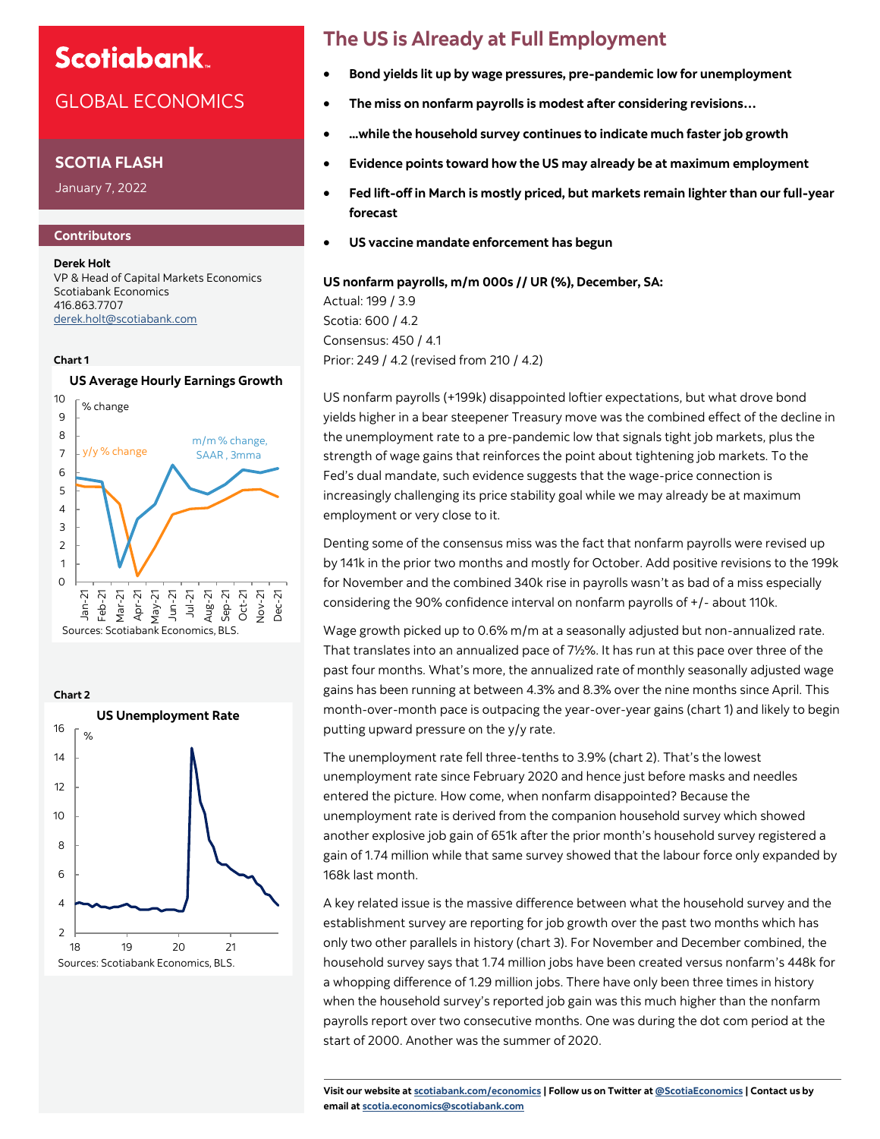## **Scotiabank**

## GLOBAL ECONOMICS

### **SCOTIA FLASH**

January 7, 2022

### **Contributors**

**Derek Holt** VP & Head of Capital Markets Economics Scotiabank Economics 416.863.7707 [derek.holt@scotiabank.com](mailto:derek.holt@scotiabank.com)

#### **Chart 1**

### **US Average Hourly Earnings Growth**





## **The US is Already at Full Employment**

- **Bond yields lit up by wage pressures, pre-pandemic low for unemployment**
- **The miss on nonfarm payrolls is modest after considering revisions…**
- **...while the household survey continues to indicate much faster job growth**
- **Evidence points toward how the US may already be at maximum employment**
- **Fed lift-off in March is mostly priced, but markets remain lighter than our full-year forecast**
- **US vaccine mandate enforcement has begun**

**US nonfarm payrolls, m/m 000s // UR (%), December, SA:** Actual: 199 / 3.9 Scotia: 600 / 4.2 Consensus: 450 / 4.1 Prior: 249 / 4.2 (revised from 210 / 4.2)

US nonfarm payrolls (+199k) disappointed loftier expectations, but what drove bond yields higher in a bear steepener Treasury move was the combined effect of the decline in the unemployment rate to a pre-pandemic low that signals tight job markets, plus the strength of wage gains that reinforces the point about tightening job markets. To the Fed's dual mandate, such evidence suggests that the wage-price connection is increasingly challenging its price stability goal while we may already be at maximum employment or very close to it.

Denting some of the consensus miss was the fact that nonfarm payrolls were revised up by 141k in the prior two months and mostly for October. Add positive revisions to the 199k for November and the combined 340k rise in payrolls wasn't as bad of a miss especially considering the 90% confidence interval on nonfarm payrolls of +/- about 110k.

Wage growth picked up to 0.6% m/m at a seasonally adjusted but non-annualized rate. That translates into an annualized pace of 7½%. It has run at this pace over three of the past four months. What's more, the annualized rate of monthly seasonally adjusted wage gains has been running at between 4.3% and 8.3% over the nine months since April. This month-over-month pace is outpacing the year-over-year gains (chart 1) and likely to begin putting upward pressure on the y/y rate.

The unemployment rate fell three-tenths to 3.9% (chart 2). That's the lowest unemployment rate since February 2020 and hence just before masks and needles entered the picture. How come, when nonfarm disappointed? Because the unemployment rate is derived from the companion household survey which showed another explosive job gain of 651k after the prior month's household survey registered a gain of 1.74 million while that same survey showed that the labour force only expanded by 168k last month.

A key related issue is the massive difference between what the household survey and the establishment survey are reporting for job growth over the past two months which has only two other parallels in history (chart 3). For November and December combined, the household survey says that 1.74 million jobs have been created versus nonfarm's 448k for a whopping difference of 1.29 million jobs. There have only been three times in history when the household survey's reported job gain was this much higher than the nonfarm payrolls report over two consecutive months. One was during the dot com period at the start of 2000. Another was the summer of 2020.

**Visit our website at [scotiabank.com/economics](https://www.scotiabank.com/ca/en/about/global-economics/economics-publications.html) | Follow us on Twitter at [@ScotiaEconomics](https://twitter.com/ScotiaEconomics) | Contact us by email at scotia.economics@scotiabank.com**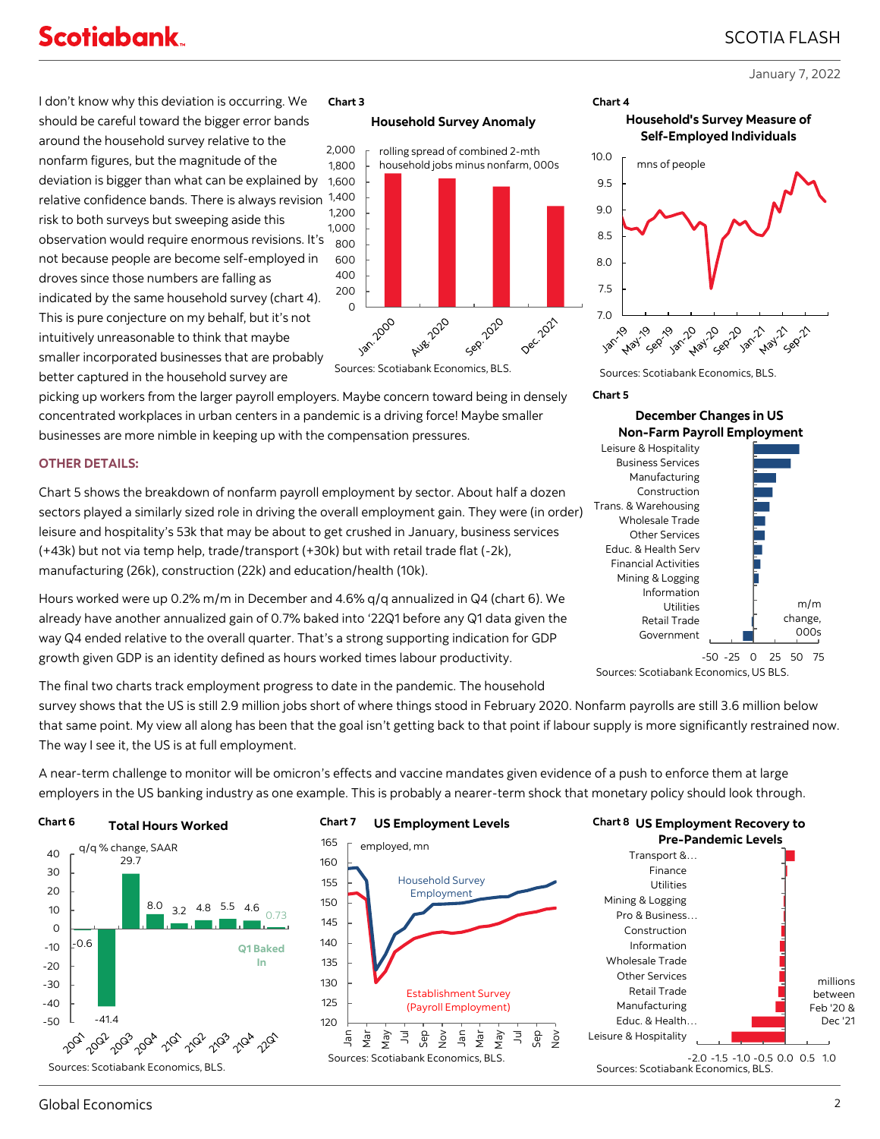# **Scotiabank**

January 7, 2022

SCOTIA FLASH

I don't know why this deviation is occurring. We should be careful toward the bigger error bands around the household survey relative to the nonfarm figures, but the magnitude of the deviation is bigger than what can be explained by relative confidence bands. There is always revision 1,400 risk to both surveys but sweeping aside this observation would require enormous revisions. It's not because people are become self-employed in droves since those numbers are falling as indicated by the same household survey (chart 4). This is pure conjecture on my behalf, but it's not intuitively unreasonable to think that maybe smaller incorporated businesses that are probably better captured in the household survey are

### **Chart 3**

### **Household Survey Anomaly**





picking up workers from the larger payroll employers. Maybe concern toward being in densely concentrated workplaces in urban centers in a pandemic is a driving force! Maybe smaller businesses are more nimble in keeping up with the compensation pressures.

### **OTHER DETAILS:**

Chart 5 shows the breakdown of nonfarm payroll employment by sector. About half a dozen sectors played a similarly sized role in driving the overall employment gain. They were (in order) leisure and hospitality's 53k that may be about to get crushed in January, business services (+43k) but not via temp help, trade/transport (+30k) but with retail trade flat (-2k), manufacturing (26k), construction (22k) and education/health (10k).

Hours worked were up 0.2% m/m in December and 4.6% q/q annualized in Q4 (chart 6). We already have another annualized gain of 0.7% baked into '22Q1 before any Q1 data given the way Q4 ended relative to the overall quarter. That's a strong supporting indication for GDP growth given GDP is an identity defined as hours worked times labour productivity.

The final two charts track employment progress to date in the pandemic. The household

survey shows that the US is still 2.9 million jobs short of where things stood in February 2020. Nonfarm payrolls are still 3.6 million below that same point. My view all along has been that the goal isn't getting back to that point if labour supply is more significantly restrained now. The way I see it, the US is at full employment.

A near-term challenge to monitor will be omicron's effects and vaccine mandates given evidence of a push to enforce them at large employers in the US banking industry as one example. This is probably a nearer-term shock that monetary policy should look through.

#### **US Employment Levels Chart 6 Chart 7 Chart 8Total Hours Worked**









7.0 L<br> $\frac{1}{30^{6}}$ 1. Jan. 42 **10 yan't Hay** 25 22.21  $\tilde{\mathcal{S}}$ **May** 20 20  $\sim$ **Hay Gep** Sources: Scotiabank Economics, BLS.

**Household's Survey Measure of Self-Employed Individuals**

mns of people

### **Chart 5**

7.5 8.0 8.5 9.0 9.5 10.0

**Chart 4**